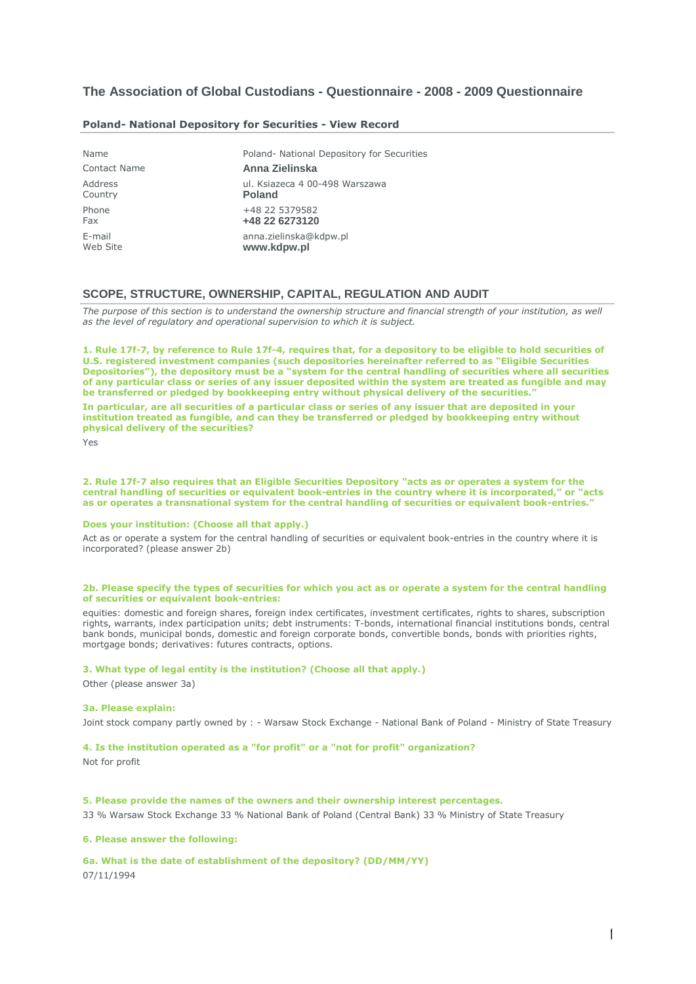# **The Association of Global Custodians - Questionnaire - 2008 - 2009 Questionnaire**

| Name                | Poland- National Depository for Securities |
|---------------------|--------------------------------------------|
| <b>Contact Name</b> | Anna Zielinska                             |
| Address             | ul. Ksiazeca 4 00-498 Warszawa             |
| Country             | <b>Poland</b>                              |
| Phone               | +48 22 5379582                             |
| Fax                 | +48 22 6273120                             |
| E-mail              | anna.zielinska@kdpw.pl                     |
| Web Site            | www.kdpw.pl                                |

### **Poland- [National Depository for Securities -](javascript:expandCollapse(document.getElementById() View Record**

# **SCOPE, STRUCTURE, OWNERSHIP, CAPITAL, REGULATION AND AUDIT**

*The purpose of this section is to understand the ownership structure and financial strength of your institution, as well as the level of regulatory and operational supervision to which it is subject.*

**1. Rule 17f-7, by reference to Rule 17f-4, requires that, for a depository to be eligible to hold securities of U.S. registered investment companies (such depositories hereinafter referred to as "Eligible Securities Depositories"), the depository must be a "system for the central handling of securities where all securities of any particular class or series of any issuer deposited within the system are treated as fungible and may be transferred or pledged by bookkeeping entry without physical delivery of the securities."**

**In particular, are all securities of a particular class or series of any issuer that are deposited in your institution treated as fungible, and can they be transferred or pledged by bookkeeping entry without physical delivery of the securities?**

Yes

**2. Rule 17f-7 also requires that an Eligible Securities Depository "acts as or operates a system for the central handling of securities or equivalent book-entries in the country where it is incorporated," or "acts as or operates a transnational system for the central handling of securities or equivalent book-entries."**

#### **Does your institution: (Choose all that apply.)**

Act as or operate a system for the central handling of securities or equivalent book-entries in the country where it is incorporated? (please answer 2b)

# **2b. Please specify the types of securities for which you act as or operate a system for the central handling of securities or equivalent book-entries:**

equities: domestic and foreign shares, foreign index certificates, investment certificates, rights to shares, subscription rights, warrants, index participation units; debt instruments: T-bonds, international financial institutions bonds, central bank bonds, municipal bonds, domestic and foreign corporate bonds, convertible bonds, bonds with priorities rights, mortgage bonds; derivatives: futures contracts, options.

### **3. What type of legal entity is the institution? (Choose all that apply.)**

Other (please answer 3a)

#### **3a. Please explain:**

Joint stock company partly owned by : - Warsaw Stock Exchange - National Bank of Poland - Ministry of State Treasury

### **4. Is the institution operated as a "for profit" or a "not for profit" organization?**

Not for profit

## **5. Please provide the names of the owners and their ownership interest percentages.**

33 % Warsaw Stock Exchange 33 % National Bank of Poland (Central Bank) 33 % Ministry of State Treasury

## **6. Please answer the following:**

**6a. What is the date of establishment of the depository? (DD/MM/YY)** 07/11/1994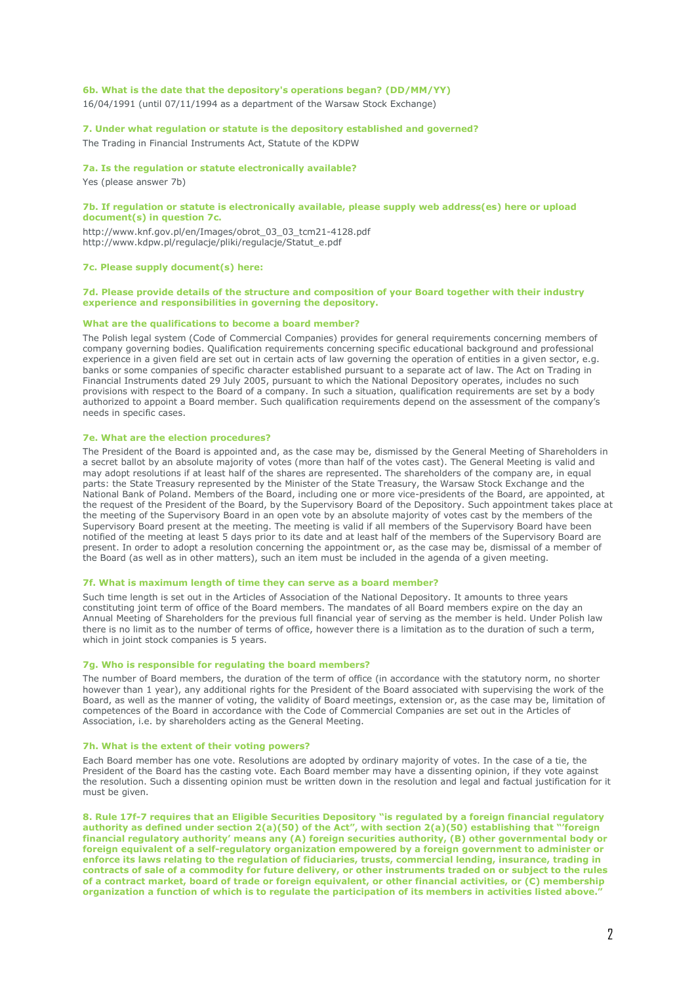# **6b. What is the date that the depository's operations began? (DD/MM/YY)**

16/04/1991 (until 07/11/1994 as a department of the Warsaw Stock Exchange)

**7. Under what regulation or statute is the depository established and governed?**

The Trading in Financial Instruments Act, Statute of the KDPW

#### **7a. Is the regulation or statute electronically available?**

Yes (please answer 7b)

#### **7b. If regulation or statute is electronically available, please supply web address(es) here or upload document(s) in question 7c.**

http://www.knf.gov.pl/en/Images/obrot\_03\_03\_tcm21-4128.pdf http://www.kdpw.pl/regulacje/pliki/regulacje/Statut\_e.pdf

## **7c. Please supply document(s) here:**

### **7d. Please provide details of the structure and composition of your Board together with their industry experience and responsibilities in governing the depository.**

### **What are the qualifications to become a board member?**

The Polish legal system (Code of Commercial Companies) provides for general requirements concerning members of company governing bodies. Qualification requirements concerning specific educational background and professional experience in a given field are set out in certain acts of law governing the operation of entities in a given sector, e.g. banks or some companies of specific character established pursuant to a separate act of law. The Act on Trading in Financial Instruments dated 29 July 2005, pursuant to which the National Depository operates, includes no such provisions with respect to the Board of a company. In such a situation, qualification requirements are set by a body authorized to appoint a Board member. Such qualification requirements depend on the assessment of the company's needs in specific cases.

### **7e. What are the election procedures?**

The President of the Board is appointed and, as the case may be, dismissed by the General Meeting of Shareholders in a secret ballot by an absolute majority of votes (more than half of the votes cast). The General Meeting is valid and may adopt resolutions if at least half of the shares are represented. The shareholders of the company are, in equal parts: the State Treasury represented by the Minister of the State Treasury, the Warsaw Stock Exchange and the National Bank of Poland. Members of the Board, including one or more vice-presidents of the Board, are appointed, at the request of the President of the Board, by the Supervisory Board of the Depository. Such appointment takes place at the meeting of the Supervisory Board in an open vote by an absolute majority of votes cast by the members of the Supervisory Board present at the meeting. The meeting is valid if all members of the Supervisory Board have been notified of the meeting at least 5 days prior to its date and at least half of the members of the Supervisory Board are present. In order to adopt a resolution concerning the appointment or, as the case may be, dismissal of a member of the Board (as well as in other matters), such an item must be included in the agenda of a given meeting.

### **7f. What is maximum length of time they can serve as a board member?**

Such time length is set out in the Articles of Association of the National Depository. It amounts to three years constituting joint term of office of the Board members. The mandates of all Board members expire on the day an Annual Meeting of Shareholders for the previous full financial year of serving as the member is held. Under Polish law there is no limit as to the number of terms of office, however there is a limitation as to the duration of such a term, which in joint stock companies is 5 years.

#### **7g. Who is responsible for regulating the board members?**

The number of Board members, the duration of the term of office (in accordance with the statutory norm, no shorter however than 1 year), any additional rights for the President of the Board associated with supervising the work of the Board, as well as the manner of voting, the validity of Board meetings, extension or, as the case may be, limitation of competences of the Board in accordance with the Code of Commercial Companies are set out in the Articles of Association, i.e. by shareholders acting as the General Meeting.

### **7h. What is the extent of their voting powers?**

Each Board member has one vote. Resolutions are adopted by ordinary majority of votes. In the case of a tie, the President of the Board has the casting vote. Each Board member may have a dissenting opinion, if they vote against the resolution. Such a dissenting opinion must be written down in the resolution and legal and factual justification for it must be given.

**8. Rule 17f-7 requires that an Eligible Securities Depository "is regulated by a foreign financial regulatory authority as defined under section 2(a)(50) of the Act", with section 2(a)(50) establishing that "'foreign financial regulatory authority' means any (A) foreign securities authority, (B) other governmental body or foreign equivalent of a self-regulatory organization empowered by a foreign government to administer or enforce its laws relating to the regulation of fiduciaries, trusts, commercial lending, insurance, trading in contracts of sale of a commodity for future delivery, or other instruments traded on or subject to the rules of a contract market, board of trade or foreign equivalent, or other financial activities, or (C) membership organization a function of which is to regulate the participation of its members in activities listed above."**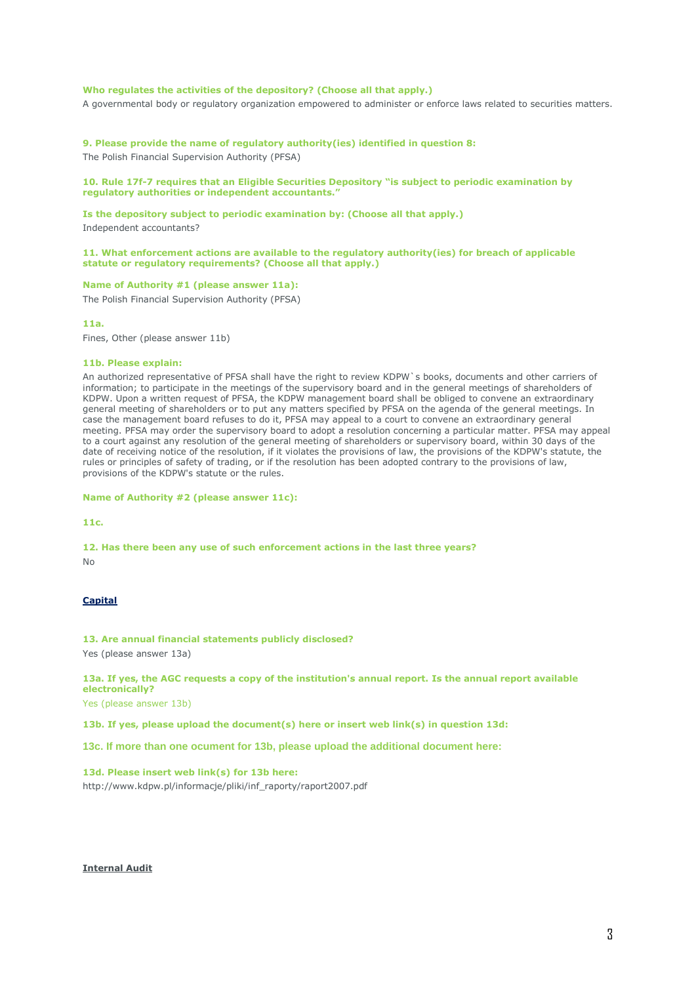# **Who regulates the activities of the depository? (Choose all that apply.)**

A governmental body or regulatory organization empowered to administer or enforce laws related to securities matters.

**9. Please provide the name of regulatory authority(ies) identified in question 8:**

The Polish Financial Supervision Authority (PFSA)

# **10. Rule 17f-7 requires that an Eligible Securities Depository "is subject to periodic examination by regulatory authorities or independent accountants."**

**Is the depository subject to periodic examination by: (Choose all that apply.)** Independent accountants?

**11. What enforcement actions are available to the regulatory authority(ies) for breach of applicable statute or regulatory requirements? (Choose all that apply.)**

### **Name of Authority #1 (please answer 11a):**

The Polish Financial Supervision Authority (PFSA)

### **11a.**

Fines, Other (please answer 11b)

#### **11b. Please explain:**

An authorized representative of PFSA shall have the right to review KDPW`s books, documents and other carriers of information; to participate in the meetings of the supervisory board and in the general meetings of shareholders of KDPW. Upon a written request of PFSA, the KDPW management board shall be obliged to convene an extraordinary general meeting of shareholders or to put any matters specified by PFSA on the agenda of the general meetings. In case the management board refuses to do it, PFSA may appeal to a court to convene an extraordinary general meeting. PFSA may order the supervisory board to adopt a resolution concerning a particular matter. PFSA may appeal to a court against any resolution of the general meeting of shareholders or supervisory board, within 30 days of the date of receiving notice of the resolution, if it violates the provisions of law, the provisions of the KDPW's statute, the rules or principles of safety of trading, or if the resolution has been adopted contrary to the provisions of law, provisions of the KDPW's statute or the rules.

**Name of Authority #2 (please answer 11c):**

**11c.**

**12. Has there been any use of such enforcement actions in the last three years?**

No

# **Capital**

**13. Are annual financial statements publicly disclosed?**

Yes (please answer 13a)

**13a. If yes, the AGC requests a copy of the institution's annual report. Is the annual report available electronically?**

Yes (please answer 13b)

**13b. If yes, please upload the document(s) here or insert web link(s) in question 13d:**

**13c. If more than one ocument for 13b, please upload the additional document here:**

# **13d. Please insert web link(s) for 13b here:**

http://www.kdpw.pl/informacje/pliki/inf\_raporty/raport2007.pdf

# **Internal Audit**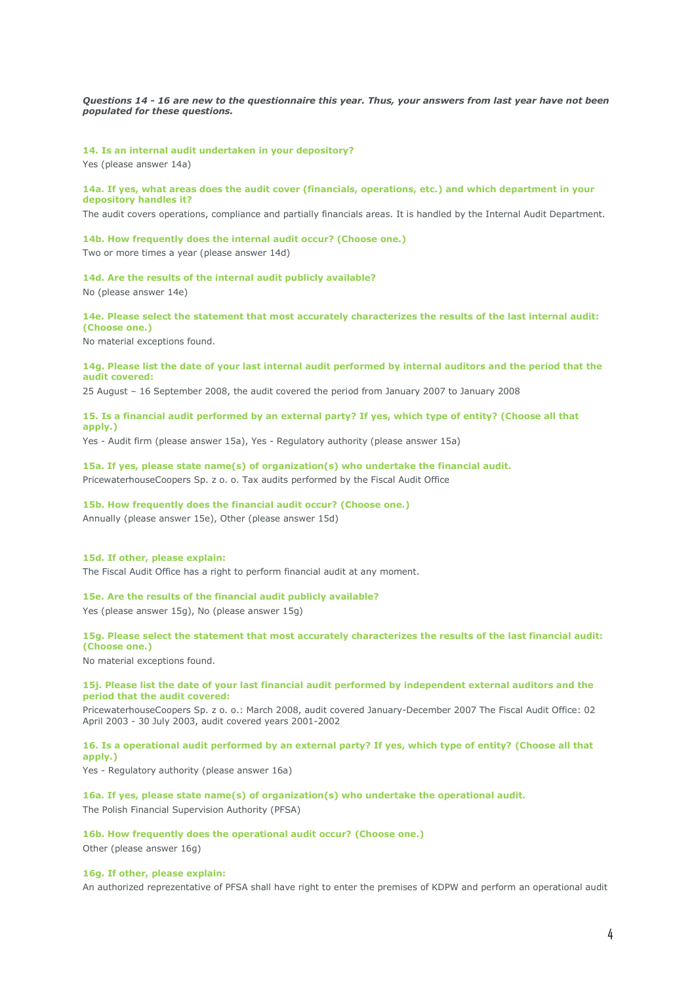*Questions 14 - 16 are new to the questionnaire this year. Thus, your answers from last year have not been populated for these questions.*

**14. Is an internal audit undertaken in your depository?**

Yes (please answer 14a)

**14a. If yes, what areas does the audit cover (financials, operations, etc.) and which department in your depository handles it?**

The audit covers operations, compliance and partially financials areas. It is handled by the Internal Audit Department.

## **14b. How frequently does the internal audit occur? (Choose one.)**

Two or more times a year (please answer 14d)

**14d. Are the results of the internal audit publicly available?**

No (please answer 14e)

# **14e. Please select the statement that most accurately characterizes the results of the last internal audit: (Choose one.)**

No material exceptions found.

#### **14g. Please list the date of your last internal audit performed by internal auditors and the period that the audit covered:**

25 August – 16 September 2008, the audit covered the period from January 2007 to January 2008

# **15. Is a financial audit performed by an external party? If yes, which type of entity? (Choose all that apply.)**

Yes - Audit firm (please answer 15a), Yes - Regulatory authority (please answer 15a)

# **15a. If yes, please state name(s) of organization(s) who undertake the financial audit.** PricewaterhouseCoopers Sp. z o. o. Tax audits performed by the Fiscal Audit Office

**15b. How frequently does the financial audit occur? (Choose one.)** Annually (please answer 15e), Other (please answer 15d)

# **15d. If other, please explain:**

The Fiscal Audit Office has a right to perform financial audit at any moment.

# **15e. Are the results of the financial audit publicly available?**

Yes (please answer 15g), No (please answer 15g)

# **15g. Please select the statement that most accurately characterizes the results of the last financial audit: (Choose one.)**

No material exceptions found.

# **15j. Please list the date of your last financial audit performed by independent external auditors and the period that the audit covered:**

PricewaterhouseCoopers Sp. z o. o.: March 2008, audit covered January-December 2007 The Fiscal Audit Office: 02 April 2003 - 30 July 2003, audit covered years 2001-2002

# **16. Is a operational audit performed by an external party? If yes, which type of entity? (Choose all that apply.)**

Yes - Regulatory authority (please answer 16a)

### **16a. If yes, please state name(s) of organization(s) who undertake the operational audit.**

The Polish Financial Supervision Authority (PFSA)

# **16b. How frequently does the operational audit occur? (Choose one.)**

Other (please answer 16g)

## **16g. If other, please explain:**

An authorized reprezentative of PFSA shall have right to enter the premises of KDPW and perform an operational audit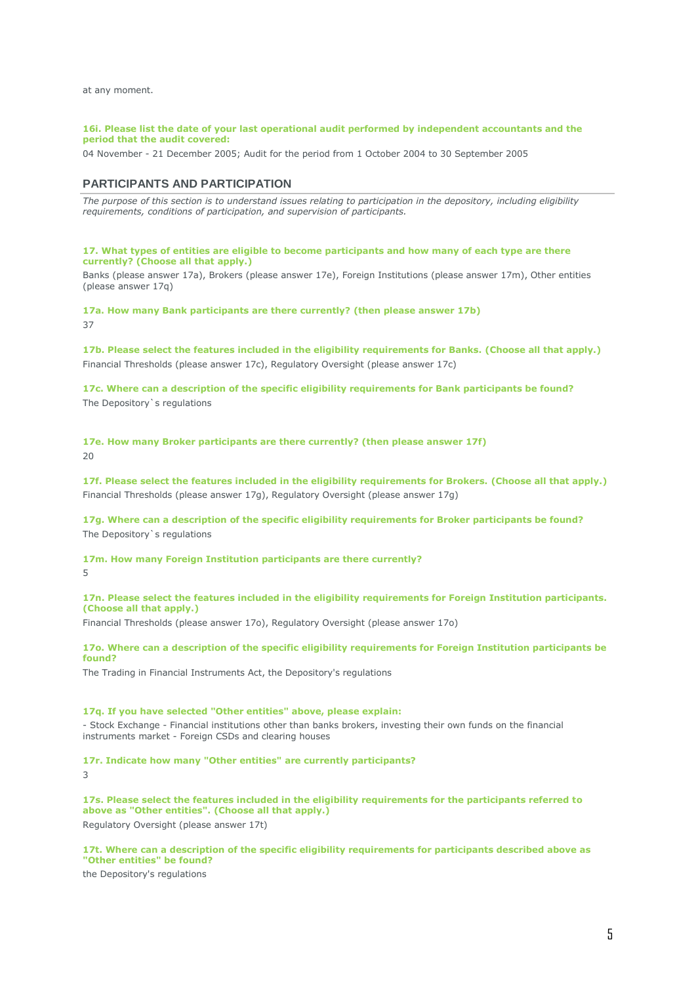at any moment.

### **16i. Please list the date of your last operational audit performed by independent accountants and the period that the audit covered:**

04 November - 21 December 2005; Audit for the period from 1 October 2004 to 30 September 2005

# **PARTICIPANTS AND PARTICIPATION**

*The purpose of this section is to understand issues relating to participation in the depository, including eligibility requirements, conditions of participation, and supervision of participants.*

## **17. What types of entities are eligible to become participants and how many of each type are there currently? (Choose all that apply.)**

Banks (please answer 17a), Brokers (please answer 17e), Foreign Institutions (please answer 17m), Other entities (please answer 17q)

**17a. How many Bank participants are there currently? (then please answer 17b)** 37

**17b. Please select the features included in the eligibility requirements for Banks. (Choose all that apply.)** Financial Thresholds (please answer 17c), Regulatory Oversight (please answer 17c)

**17c. Where can a description of the specific eligibility requirements for Bank participants be found?** The Depository`s regulations

**17e. How many Broker participants are there currently? (then please answer 17f)** 20

**17f. Please select the features included in the eligibility requirements for Brokers. (Choose all that apply.)** Financial Thresholds (please answer 17g), Regulatory Oversight (please answer 17g)

**17g. Where can a description of the specific eligibility requirements for Broker participants be found?** The Depository`s regulations

**17m. How many Foreign Institution participants are there currently?** 5

**17n. Please select the features included in the eligibility requirements for Foreign Institution participants. (Choose all that apply.)**

Financial Thresholds (please answer 17o), Regulatory Oversight (please answer 17o)

# **17o. Where can a description of the specific eligibility requirements for Foreign Institution participants be found?**

The Trading in Financial Instruments Act, the Depository's regulations

# **17q. If you have selected "Other entities" above, please explain:**

- Stock Exchange - Financial institutions other than banks brokers, investing their own funds on the financial instruments market - Foreign CSDs and clearing houses

**17r. Indicate how many "Other entities" are currently participants?**

3

**17s. Please select the features included in the eligibility requirements for the participants referred to above as "Other entities". (Choose all that apply.)** Regulatory Oversight (please answer 17t)

**17t. Where can a description of the specific eligibility requirements for participants described above as "Other entities" be found?**

the Depository's regulations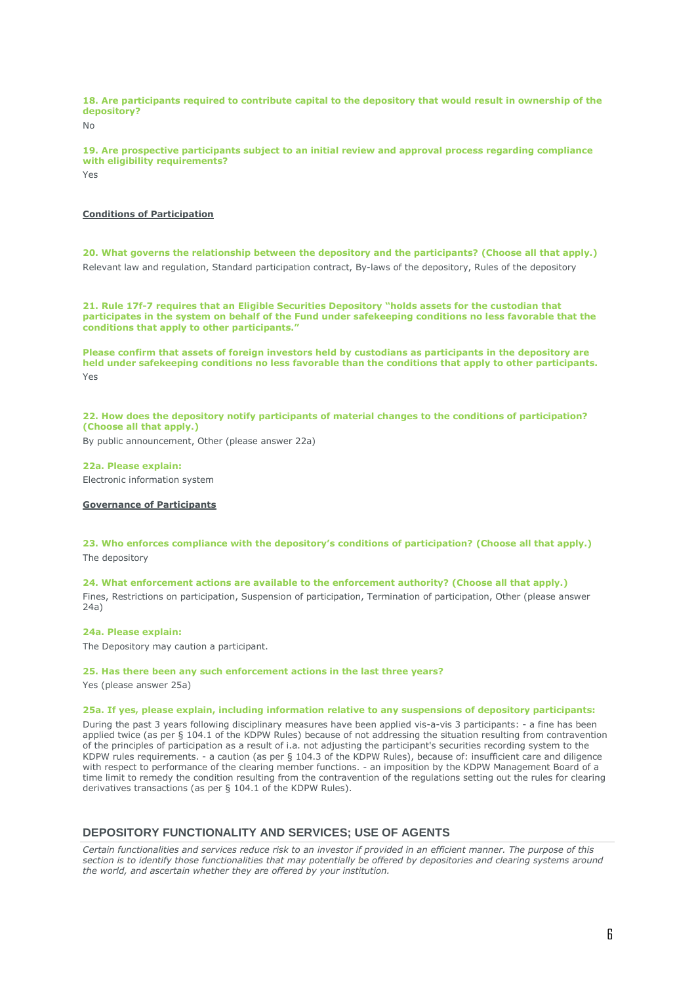**18. Are participants required to contribute capital to the depository that would result in ownership of the depository?**

 $N<sub>0</sub>$ 

**19. Are prospective participants subject to an initial review and approval process regarding compliance with eligibility requirements?**

Yes

# **Conditions of Participation**

**20. What governs the relationship between the depository and the participants? (Choose all that apply.)** Relevant law and regulation, Standard participation contract, By-laws of the depository, Rules of the depository

**21. Rule 17f-7 requires that an Eligible Securities Depository "holds assets for the custodian that participates in the system on behalf of the Fund under safekeeping conditions no less favorable that the conditions that apply to other participants."**

**Please confirm that assets of foreign investors held by custodians as participants in the depository are held under safekeeping conditions no less favorable than the conditions that apply to other participants.** Yes

**22. How does the depository notify participants of material changes to the conditions of participation? (Choose all that apply.)**

By public announcement, Other (please answer 22a)

**22a. Please explain:** Electronic information system

**Governance of Participants**

**23. Who enforces compliance with the depository's conditions of participation? (Choose all that apply.)** The depository

**24. What enforcement actions are available to the enforcement authority? (Choose all that apply.)** Fines, Restrictions on participation, Suspension of participation, Termination of participation, Other (please answer 24a)

### **24a. Please explain:**

The Depository may caution a participant.

### **25. Has there been any such enforcement actions in the last three years?**

Yes (please answer 25a)

# **25a. If yes, please explain, including information relative to any suspensions of depository participants:**

During the past 3 years following disciplinary measures have been applied vis-a-vis 3 participants: - a fine has been applied twice (as per § 104.1 of the KDPW Rules) because of not addressing the situation resulting from contravention of the principles of participation as a result of i.a. not adjusting the participant's securities recording system to the KDPW rules requirements. - a caution (as per § 104.3 of the KDPW Rules), because of: insufficient care and diligence with respect to performance of the clearing member functions. - an imposition by the KDPW Management Board of a time limit to remedy the condition resulting from the contravention of the regulations setting out the rules for clearing derivatives transactions (as per § 104.1 of the KDPW Rules).

# **DEPOSITORY FUNCTIONALITY AND SERVICES; USE OF AGENTS**

*Certain functionalities and services reduce risk to an investor if provided in an efficient manner. The purpose of this section is to identify those functionalities that may potentially be offered by depositories and clearing systems around the world, and ascertain whether they are offered by your institution.*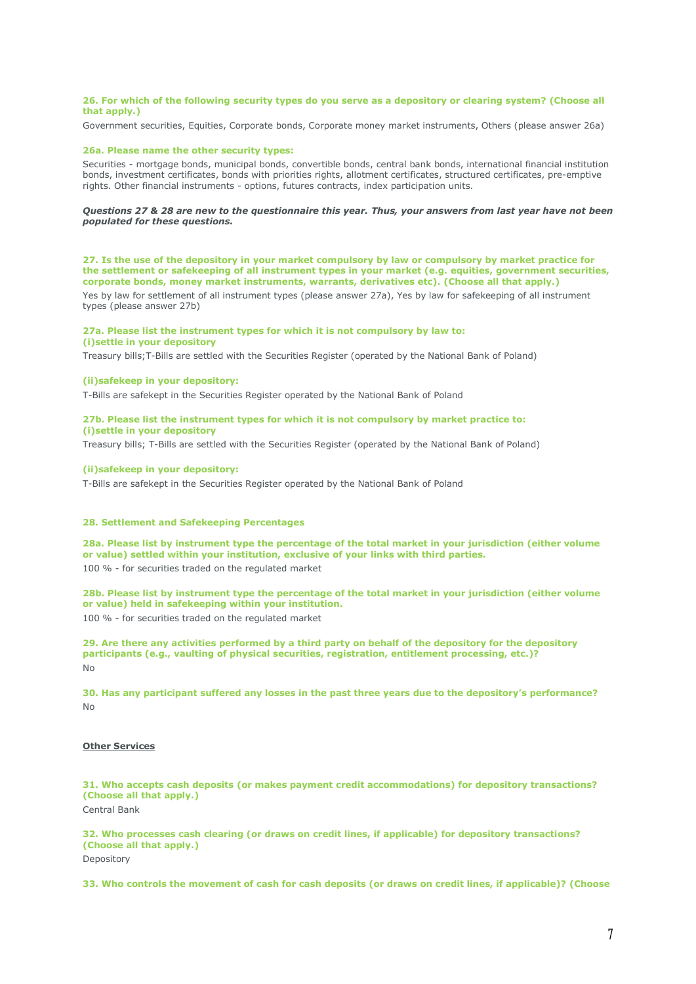### **26. For which of the following security types do you serve as a depository or clearing system? (Choose all that apply.)**

Government securities, Equities, Corporate bonds, Corporate money market instruments, Others (please answer 26a)

### **26a. Please name the other security types:**

Securities - mortgage bonds, municipal bonds, convertible bonds, central bank bonds, international financial institution bonds, investment certificates, bonds with priorities rights, allotment certificates, structured certificates, pre-emptive rights. Other financial instruments - options, futures contracts, index participation units.

### *Questions 27 & 28 are new to the questionnaire this year. Thus, your answers from last year have not been populated for these questions.*

**27. Is the use of the depository in your market compulsory by law or compulsory by market practice for the settlement or safekeeping of all instrument types in your market (e.g. equities, government securities, corporate bonds, money market instruments, warrants, derivatives etc). (Choose all that apply.)**

Yes by law for settlement of all instrument types (please answer 27a), Yes by law for safekeeping of all instrument types (please answer 27b)

# **27a. Please list the instrument types for which it is not compulsory by law to:**

# **(i)settle in your depository**

Treasury bills;T-Bills are settled with the Securities Register (operated by the National Bank of Poland)

### **(ii)safekeep in your depository:**

T-Bills are safekept in the Securities Register operated by the National Bank of Poland

### **27b. Please list the instrument types for which it is not compulsory by market practice to: (i)settle in your depository**

Treasury bills; T-Bills are settled with the Securities Register (operated by the National Bank of Poland)

# **(ii)safekeep in your depository:**

T-Bills are safekept in the Securities Register operated by the National Bank of Poland

# **28. Settlement and Safekeeping Percentages**

**28a. Please list by instrument type the percentage of the total market in your jurisdiction (either volume or value) settled within your institution, exclusive of your links with third parties.** 100 % - for securities traded on the regulated market

**28b. Please list by instrument type the percentage of the total market in your jurisdiction (either volume or value) held in safekeeping within your institution.** 100 % - for securities traded on the regulated market

**29. Are there any activities performed by a third party on behalf of the depository for the depository participants (e.g., vaulting of physical securities, registration, entitlement processing, etc.)?** No

**30. Has any participant suffered any losses in the past three years due to the depository's performance?** No

# **Other Services**

**31. Who accepts cash deposits (or makes payment credit accommodations) for depository transactions? (Choose all that apply.)**

Central Bank

**32. Who processes cash clearing (or draws on credit lines, if applicable) for depository transactions? (Choose all that apply.)** Depository

**33. Who controls the movement of cash for cash deposits (or draws on credit lines, if applicable)? (Choose**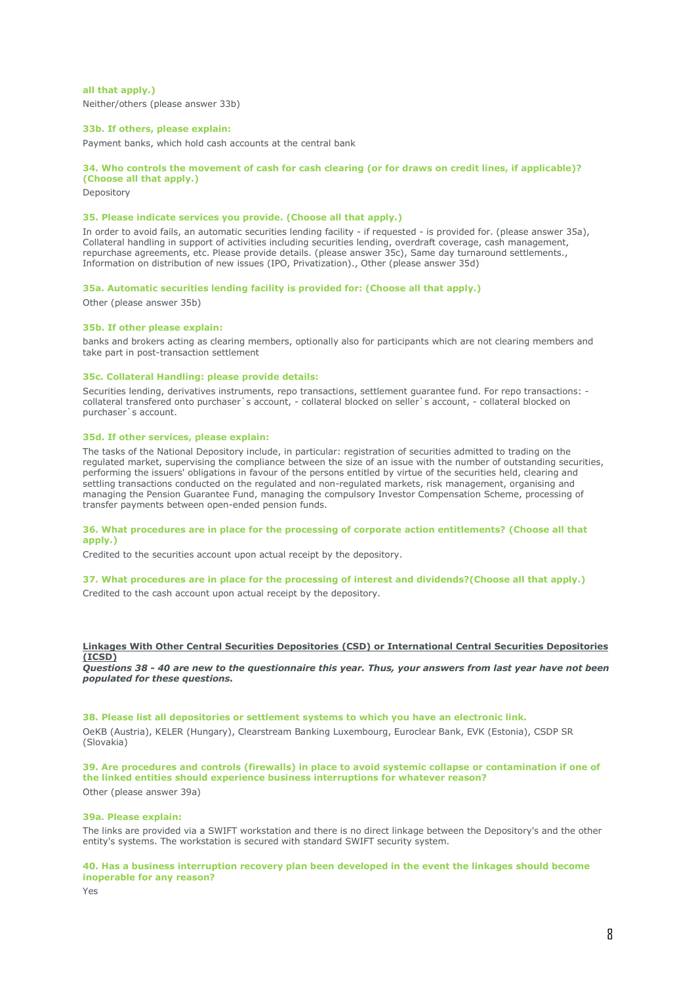**all that apply.)** Neither/others (please answer 33b)

### **33b. If others, please explain:**

Payment banks, which hold cash accounts at the central bank

# **34. Who controls the movement of cash for cash clearing (or for draws on credit lines, if applicable)?**

**(Choose all that apply.)**

Depository

# **35. Please indicate services you provide. (Choose all that apply.)**

In order to avoid fails, an automatic securities lending facility - if requested - is provided for. (please answer 35a), Collateral handling in support of activities including securities lending, overdraft coverage, cash management, repurchase agreements, etc. Please provide details. (please answer 35c), Same day turnaround settlements., Information on distribution of new issues (IPO, Privatization)., Other (please answer 35d)

### **35a. Automatic securities lending facility is provided for: (Choose all that apply.)**

Other (please answer 35b)

### **35b. If other please explain:**

banks and brokers acting as clearing members, optionally also for participants which are not clearing members and take part in post-transaction settlement

### **35c. Collateral Handling: please provide details:**

Securities lending, derivatives instruments, repo transactions, settlement guarantee fund. For repo transactions: collateral transfered onto purchaser`s account, - collateral blocked on seller`s account, - collateral blocked on purchaser`s account.

# **35d. If other services, please explain:**

The tasks of the National Depository include, in particular: registration of securities admitted to trading on the regulated market, supervising the compliance between the size of an issue with the number of outstanding securities, performing the issuers' obligations in favour of the persons entitled by virtue of the securities held, clearing and settling transactions conducted on the regulated and non-regulated markets, risk management, organising and managing the Pension Guarantee Fund, managing the compulsory Investor Compensation Scheme, processing of transfer payments between open-ended pension funds.

### **36. What procedures are in place for the processing of corporate action entitlements? (Choose all that apply.)**

Credited to the securities account upon actual receipt by the depository.

# **37. What procedures are in place for the processing of interest and dividends?(Choose all that apply.)**

Credited to the cash account upon actual receipt by the depository.

# **Linkages With Other Central Securities Depositories (CSD) or International Central Securities Depositories (ICSD)**

*Questions 38 - 40 are new to the questionnaire this year. Thus, your answers from last year have not been populated for these questions.*

**38. Please list all depositories or settlement systems to which you have an electronic link.** OeKB (Austria), KELER (Hungary), Clearstream Banking Luxembourg, Euroclear Bank, EVK (Estonia), CSDP SR (Slovakia)

**39. Are procedures and controls (firewalls) in place to avoid systemic collapse or contamination if one of the linked entities should experience business interruptions for whatever reason?** Other (please answer 39a)

#### **39a. Please explain:**

The links are provided via a SWIFT workstation and there is no direct linkage between the Depository's and the other entity's systems. The workstation is secured with standard SWIFT security system.

### **40. Has a business interruption recovery plan been developed in the event the linkages should become inoperable for any reason?**

Yes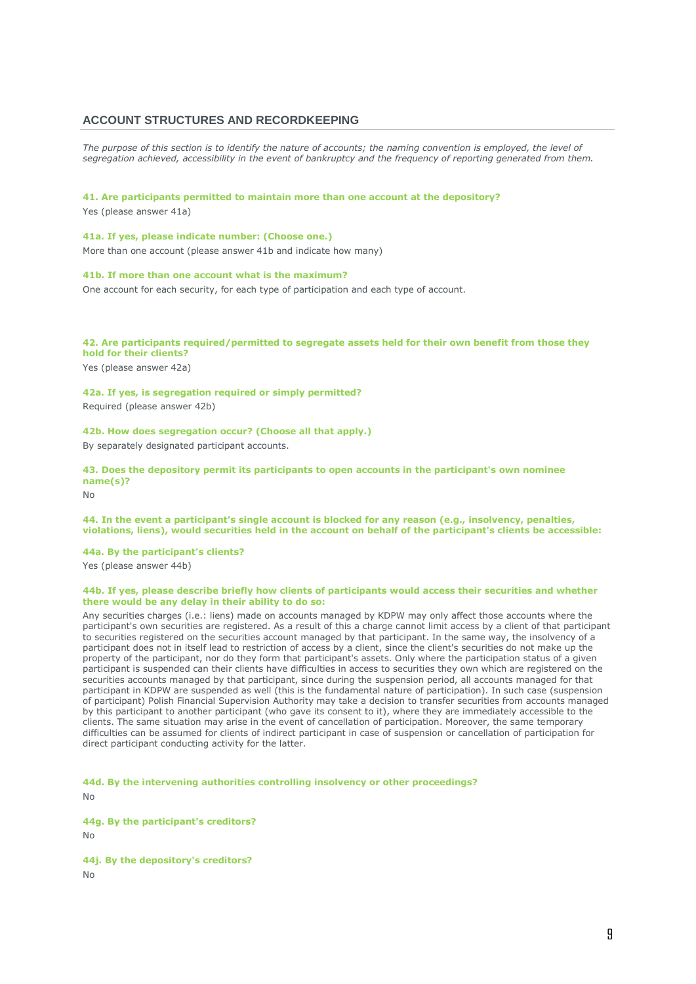# **ACCOUNT STRUCTURES AND RECORDKEEPING**

The purpose of this section is to identify the nature of accounts; the naming convention is employed, the level of *segregation achieved, accessibility in the event of bankruptcy and the frequency of reporting generated from them.*

## **41. Are participants permitted to maintain more than one account at the depository?**

Yes (please answer 41a)

**41a. If yes, please indicate number: (Choose one.)** More than one account (please answer 41b and indicate how many)

### **41b. If more than one account what is the maximum?**

One account for each security, for each type of participation and each type of account.

# **42. Are participants required/permitted to segregate assets held for their own benefit from those they hold for their clients?**

Yes (please answer 42a)

**42a. If yes, is segregation required or simply permitted?** Required (please answer 42b)

**42b. How does segregation occur? (Choose all that apply.)** By separately designated participant accounts.

**43. Does the depository permit its participants to open accounts in the participant's own nominee name(s)?**

No

# **44. In the event a participant's single account is blocked for any reason (e.g., insolvency, penalties, violations, liens), would securities held in the account on behalf of the participant's clients be accessible:**

**44a. By the participant's clients?** Yes (please answer 44b)

#### **44b. If yes, please describe briefly how clients of participants would access their securities and whether there would be any delay in their ability to do so:**

Any securities charges (i.e.: liens) made on accounts managed by KDPW may only affect those accounts where the participant's own securities are registered. As a result of this a charge cannot limit access by a client of that participant to securities registered on the securities account managed by that participant. In the same way, the insolvency of a participant does not in itself lead to restriction of access by a client, since the client's securities do not make up the property of the participant, nor do they form that participant's assets. Only where the participation status of a given participant is suspended can their clients have difficulties in access to securities they own which are registered on the securities accounts managed by that participant, since during the suspension period, all accounts managed for that participant in KDPW are suspended as well (this is the fundamental nature of participation). In such case (suspension of participant) Polish Financial Supervision Authority may take a decision to transfer securities from accounts managed by this participant to another participant (who gave its consent to it), where they are immediately accessible to the clients. The same situation may arise in the event of cancellation of participation. Moreover, the same temporary difficulties can be assumed for clients of indirect participant in case of suspension or cancellation of participation for direct participant conducting activity for the latter.

**44d. By the intervening authorities controlling insolvency or other proceedings?** No

**44g. By the participant's creditors?**

 $N<sub>0</sub>$ 

**44j. By the depository's creditors?** No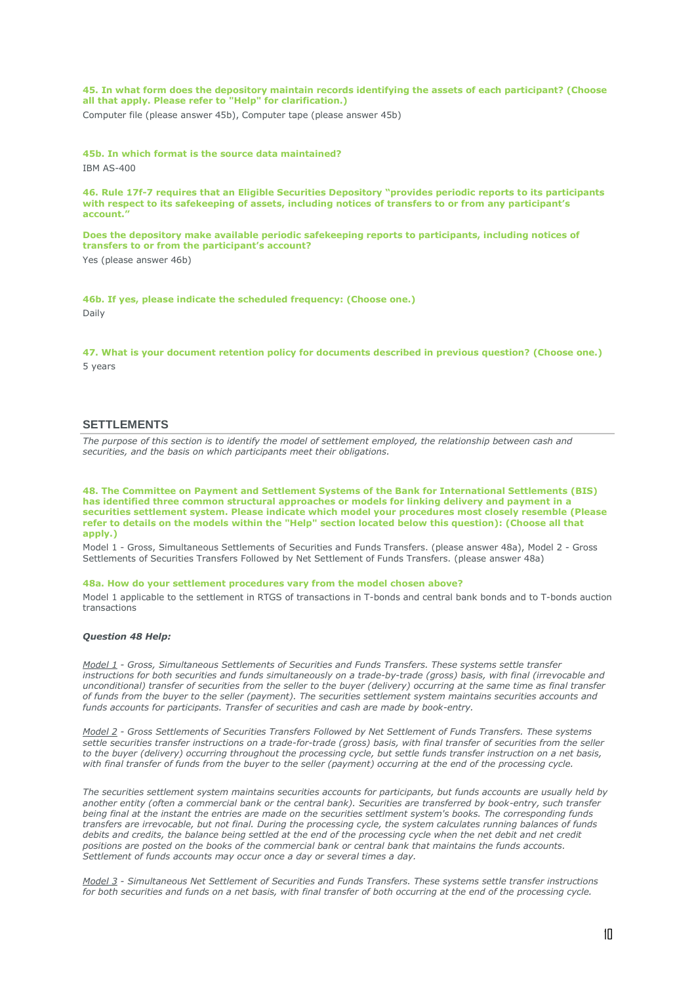**45. In what form does the depository maintain records identifying the assets of each participant? (Choose all that apply. Please refer to "Help" for clarification.)**

Computer file (please answer 45b), Computer tape (please answer 45b)

**45b. In which format is the source data maintained?**

IBM AS-400

**46. Rule 17f-7 requires that an Eligible Securities Depository "provides periodic reports to its participants with respect to its safekeeping of assets, including notices of transfers to or from any participant's account."**

**Does the depository make available periodic safekeeping reports to participants, including notices of transfers to or from the participant's account?**

Yes (please answer 46b)

**46b. If yes, please indicate the scheduled frequency: (Choose one.)** Daily

**47. What is your document retention policy for documents described in previous question? (Choose one.)** 5 years

# **SETTLEMENTS**

*The purpose of this section is to identify the model of settlement employed, the relationship between cash and securities, and the basis on which participants meet their obligations.*

**48. The Committee on Payment and Settlement Systems of the Bank for International Settlements (BIS) has identified three common structural approaches or models for linking delivery and payment in a securities settlement system. Please indicate which model your procedures most closely resemble (Please refer to details on the models within the "Help" section located below this question): (Choose all that apply.)**

Model 1 - Gross, Simultaneous Settlements of Securities and Funds Transfers. (please answer 48a), Model 2 - Gross Settlements of Securities Transfers Followed by Net Settlement of Funds Transfers. (please answer 48a)

#### **48a. How do your settlement procedures vary from the model chosen above?**

Model 1 applicable to the settlement in RTGS of transactions in T-bonds and central bank bonds and to T-bonds auction transactions

# *Question 48 Help:*

*Model 1 - Gross, Simultaneous Settlements of Securities and Funds Transfers. These systems settle transfer instructions for both securities and funds simultaneously on a trade-by-trade (gross) basis, with final (irrevocable and unconditional) transfer of securities from the seller to the buyer (delivery) occurring at the same time as final transfer of funds from the buyer to the seller (payment). The securities settlement system maintains securities accounts and funds accounts for participants. Transfer of securities and cash are made by book-entry.*

*Model 2 - Gross Settlements of Securities Transfers Followed by Net Settlement of Funds Transfers. These systems settle securities transfer instructions on a trade-for-trade (gross) basis, with final transfer of securities from the seller to the buyer (delivery) occurring throughout the processing cycle, but settle funds transfer instruction on a net basis, with final transfer of funds from the buyer to the seller (payment) occurring at the end of the processing cycle.*

*The securities settlement system maintains securities accounts for participants, but funds accounts are usually held by another entity (often a commercial bank or the central bank). Securities are transferred by book-entry, such transfer being final at the instant the entries are made on the securities settlment system's books. The corresponding funds transfers are irrevocable, but not final. During the processing cycle, the system calculates running balances of funds*  debits and credits, the balance being settled at the end of the processing cycle when the net debit and net credit *positions are posted on the books of the commercial bank or central bank that maintains the funds accounts. Settlement of funds accounts may occur once a day or several times a day.*

*Model 3 - Simultaneous Net Settlement of Securities and Funds Transfers. These systems settle transfer instructions for both securities and funds on a net basis, with final transfer of both occurring at the end of the processing cycle.*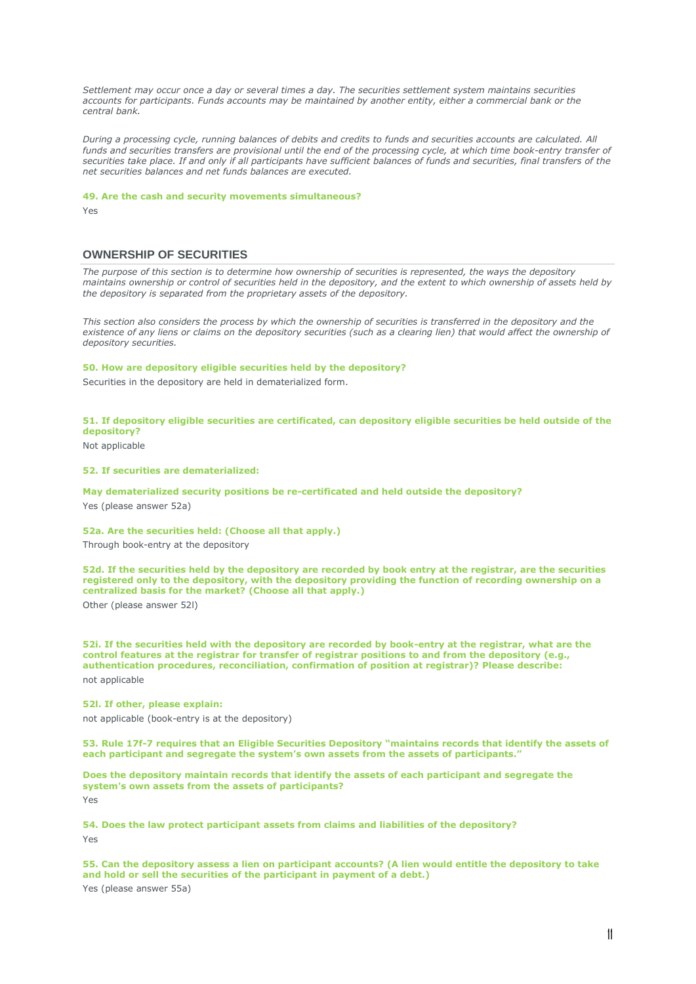*Settlement may occur once a day or several times a day. The securities settlement system maintains securities accounts for participants. Funds accounts may be maintained by another entity, either a commercial bank or the central bank.*

*During a processing cycle, running balances of debits and credits to funds and securities accounts are calculated. All*  funds and securities transfers are provisional until the end of the processing cycle, at which time book-entry transfer of *securities take place. If and only if all participants have sufficient balances of funds and securities, final transfers of the net securities balances and net funds balances are executed.*

### **49. Are the cash and security movements simultaneous?**

Yes

# **OWNERSHIP OF SECURITIES**

*The purpose of this section is to determine how ownership of securities is represented, the ways the depository maintains ownership or control of securities held in the depository, and the extent to which ownership of assets held by the depository is separated from the proprietary assets of the depository.*

This section also considers the process by which the ownership of securities is transferred in the depository and the existence of any liens or claims on the depository securities (such as a clearing lien) that would affect the ownership of *depository securities.*

## **50. How are depository eligible securities held by the depository?**

Securities in the depository are held in dematerialized form.

# **51. If depository eligible securities are certificated, can depository eligible securities be held outside of the depository?**

Not applicable

### **52. If securities are dematerialized:**

**May dematerialized security positions be re-certificated and held outside the depository?**

Yes (please answer 52a)

# **52a. Are the securities held: (Choose all that apply.)**

Through book-entry at the depository

**52d. If the securities held by the depository are recorded by book entry at the registrar, are the securities registered only to the depository, with the depository providing the function of recording ownership on a centralized basis for the market? (Choose all that apply.)** Other (please answer 52l)

**52i. If the securities held with the depository are recorded by book-entry at the registrar, what are the control features at the registrar for transfer of registrar positions to and from the depository (e.g., authentication procedures, reconciliation, confirmation of position at registrar)? Please describe:** not applicable

### **52l. If other, please explain:**

not applicable (book-entry is at the depository)

**53. Rule 17f-7 requires that an Eligible Securities Depository "maintains records that identify the assets of each participant and segregate the system's own assets from the assets of participants."**

**Does the depository maintain records that identify the assets of each participant and segregate the system's own assets from the assets of participants?** Yes

**54. Does the law protect participant assets from claims and liabilities of the depository?** Yes

**55. Can the depository assess a lien on participant accounts? (A lien would entitle the depository to take and hold or sell the securities of the participant in payment of a debt.)** Yes (please answer 55a)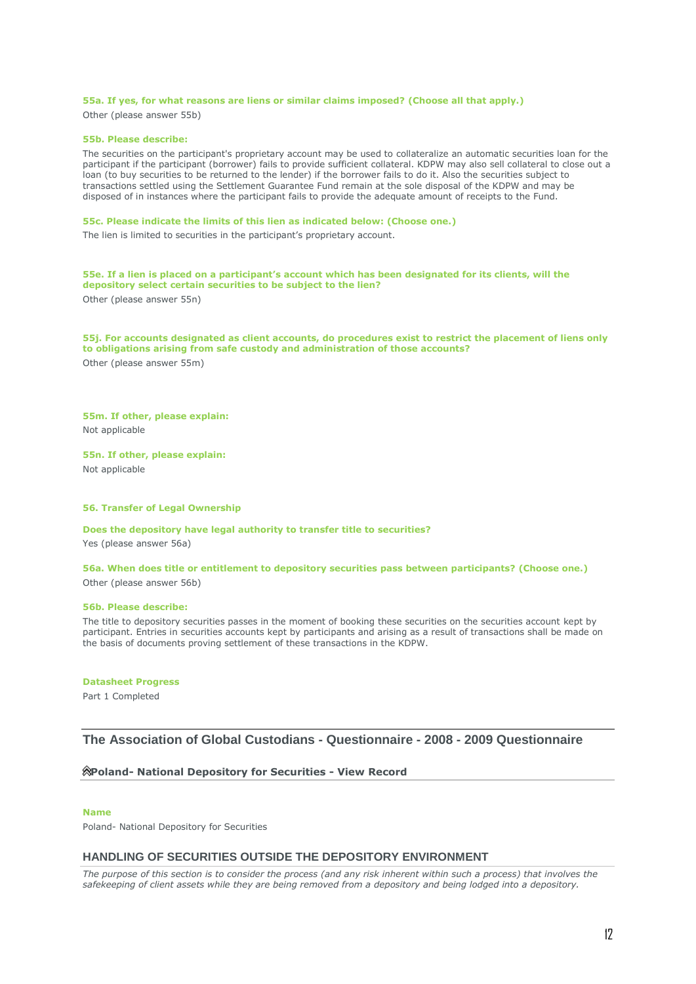## **55a. If yes, for what reasons are liens or similar claims imposed? (Choose all that apply.)** Other (please answer 55b)

### **55b. Please describe:**

The securities on the participant's proprietary account may be used to collateralize an automatic securities loan for the participant if the participant (borrower) fails to provide sufficient collateral. KDPW may also sell collateral to close out a loan (to buy securities to be returned to the lender) if the borrower fails to do it. Also the securities subject to transactions settled using the Settlement Guarantee Fund remain at the sole disposal of the KDPW and may be disposed of in instances where the participant fails to provide the adequate amount of receipts to the Fund.

#### **55c. Please indicate the limits of this lien as indicated below: (Choose one.)**

The lien is limited to securities in the participant's proprietary account.

# **55e. If a lien is placed on a participant's account which has been designated for its clients, will the depository select certain securities to be subject to the lien?**

Other (please answer 55n)

**55j. For accounts designated as client accounts, do procedures exist to restrict the placement of liens only to obligations arising from safe custody and administration of those accounts?** Other (please answer 55m)

## **55m. If other, please explain:** Not applicable

**55n. If other, please explain:** Not applicable

# **56. Transfer of Legal Ownership**

**Does the depository have legal authority to transfer title to securities?**

Yes (please answer 56a)

# **56a. When does title or entitlement to depository securities pass between participants? (Choose one.)** Other (please answer 56b)

### **56b. Please describe:**

The title to depository securities passes in the moment of booking these securities on the securities account kept by participant. Entries in securities accounts kept by participants and arising as a result of transactions shall be made on the basis of documents proving settlement of these transactions in the KDPW.

### **Datasheet Progress**

Part 1 Completed

# **The Association of Global Custodians - Questionnaire - 2008 - 2009 Questionnaire**

### **Poland- [National Depository for Securities -](javascript:expandCollapse(document.getElementById() View Record**

#### **Name**

Poland- National Depository for Securities

### **HANDLING OF SECURITIES OUTSIDE THE DEPOSITORY ENVIRONMENT**

*The purpose of this section is to consider the process (and any risk inherent within such a process) that involves the safekeeping of client assets while they are being removed from a depository and being lodged into a depository.*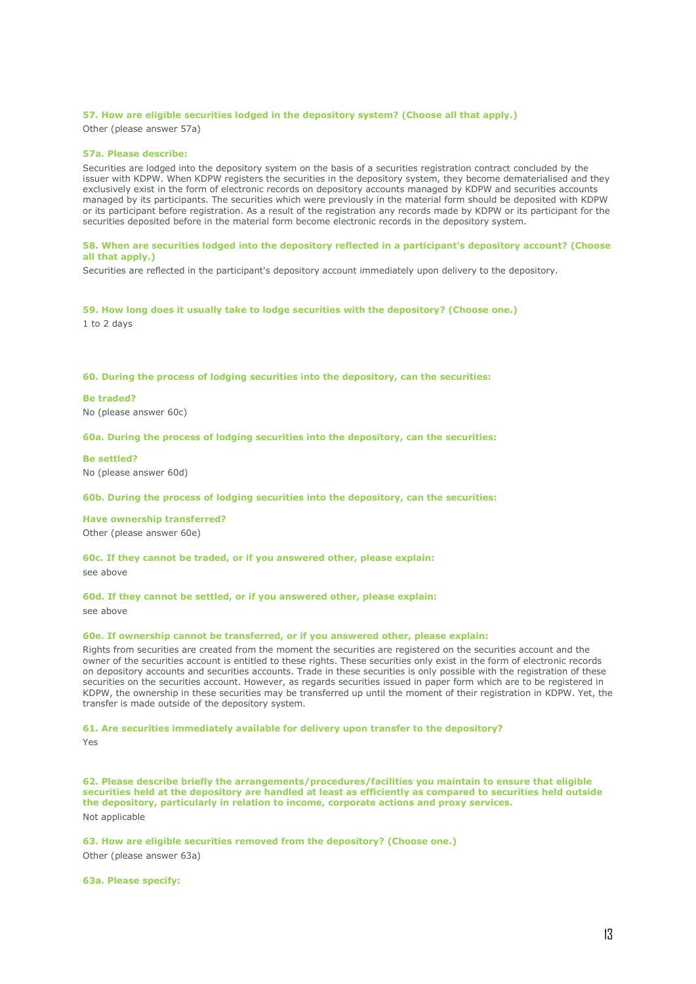### **57. How are eligible securities lodged in the depository system? (Choose all that apply.)**

Other (please answer 57a)

#### **57a. Please describe:**

Securities are lodged into the depository system on the basis of a securities registration contract concluded by the issuer with KDPW. When KDPW registers the securities in the depository system, they become dematerialised and they exclusively exist in the form of electronic records on depository accounts managed by KDPW and securities accounts managed by its participants. The securities which were previously in the material form should be deposited with KDPW or its participant before registration. As a result of the registration any records made by KDPW or its participant for the securities deposited before in the material form become electronic records in the depository system.

### **58. When are securities lodged into the depository reflected in a participant's depository account? (Choose all that apply.)**

Securities are reflected in the participant's depository account immediately upon delivery to the depository.

**59. How long does it usually take to lodge securities with the depository? (Choose one.)** 1 to 2 days

### **60. During the process of lodging securities into the depository, can the securities:**

#### **Be traded?**

No (please answer 60c)

### **60a. During the process of lodging securities into the depository, can the securities:**

#### **Be settled?**

No (please answer 60d)

#### **60b. During the process of lodging securities into the depository, can the securities:**

#### **Have ownership transferred?**

Other (please answer 60e)

# **60c. If they cannot be traded, or if you answered other, please explain:**

see above

## **60d. If they cannot be settled, or if you answered other, please explain:** see above

# **60e. If ownership cannot be transferred, or if you answered other, please explain:**

Rights from securities are created from the moment the securities are registered on the securities account and the owner of the securities account is entitled to these rights. These securities only exist in the form of electronic records on depository accounts and securities accounts. Trade in these securities is only possible with the registration of these securities on the securities account. However, as regards securities issued in paper form which are to be registered in KDPW, the ownership in these securities may be transferred up until the moment of their registration in KDPW. Yet, the transfer is made outside of the depository system.

# **61. Are securities immediately available for delivery upon transfer to the depository?**

Yes

**62. Please describe briefly the arrangements/procedures/facilities you maintain to ensure that eligible securities held at the depository are handled at least as efficiently as compared to securities held outside the depository, particularly in relation to income, corporate actions and proxy services.** Not applicable

**63. How are eligible securities removed from the depository? (Choose one.)** Other (please answer 63a)

**63a. Please specify:**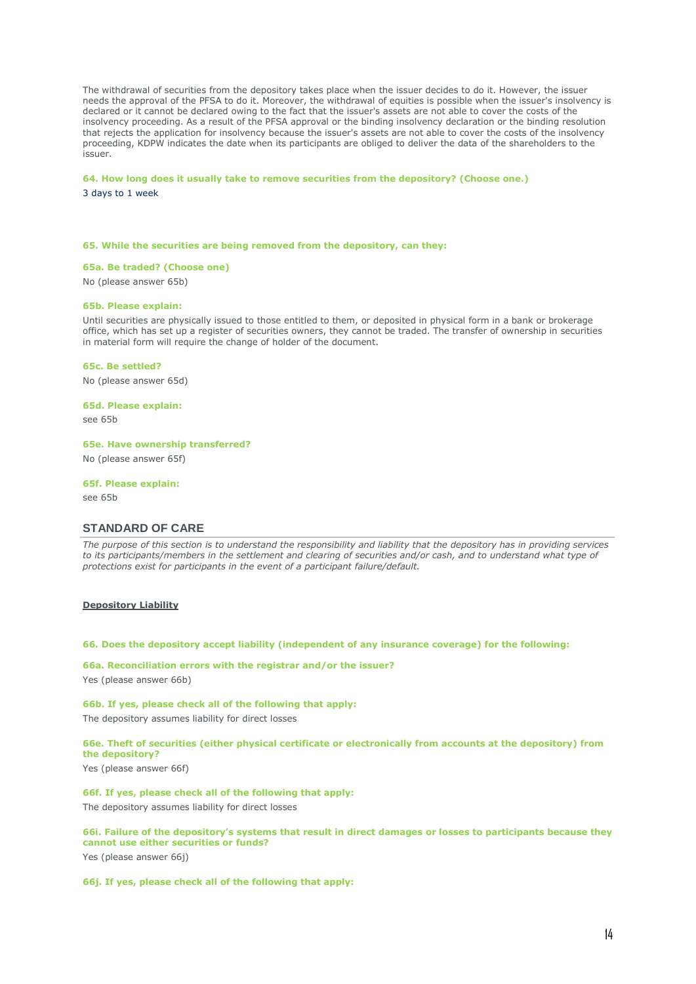The withdrawal of securities from the depository takes place when the issuer decides to do it. However, the issuer needs the approval of the PFSA to do it. Moreover, the withdrawal of equities is possible when the issuer's insolvency is declared or it cannot be declared owing to the fact that the issuer's assets are not able to cover the costs of the insolvency proceeding. As a result of the PFSA approval or the binding insolvency declaration or the binding resolution that rejects the application for insolvency because the issuer's assets are not able to cover the costs of the insolvency proceeding, KDPW indicates the date when its participants are obliged to deliver the data of the shareholders to the issuer.

## **64. How long does it usually take to remove securities from the depository? (Choose one.)** 3 days to 1 week

#### **65. While the securities are being removed from the depository, can they:**

**65a. Be traded? (Choose one)**

No (please answer 65b)

### **65b. Please explain:**

Until securities are physically issued to those entitled to them, or deposited in physical form in a bank or brokerage office, which has set up a register of securities owners, they cannot be traded. The transfer of ownership in securities in material form will require the change of holder of the document.

### **65c. Be settled?**

No (please answer 65d)

#### **65d. Please explain:**

see 65b

## **65e. Have ownership transferred?**

No (please answer 65f)

#### **65f. Please explain:**

see 65b

### **STANDARD OF CARE**

*The purpose of this section is to understand the responsibility and liability that the depository has in providing services*  to its participants/members in the settlement and clearing of securities and/or cash, and to understand what type of *protections exist for participants in the event of a participant failure/default.*

#### **Depository Liability**

**66. Does the depository accept liability (independent of any insurance coverage) for the following:**

# **66a. Reconciliation errors with the registrar and/or the issuer?** Yes (please answer 66b)

**66b. If yes, please check all of the following that apply:** The depository assumes liability for direct losses

# **66e. Theft of securities (either physical certificate or electronically from accounts at the depository) from the depository?**

Yes (please answer 66f)

### **66f. If yes, please check all of the following that apply:**

The depository assumes liability for direct losses

### **66i. Failure of the depository's systems that result in direct damages or losses to participants because they cannot use either securities or funds?**

Yes (please answer 66j)

#### **66j. If yes, please check all of the following that apply:**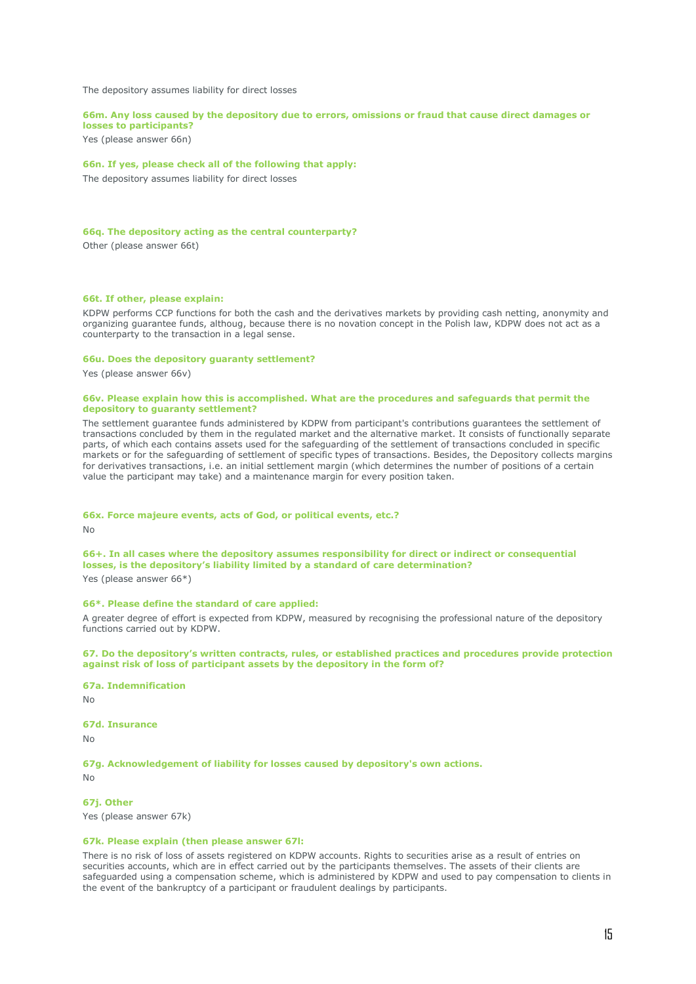The depository assumes liability for direct losses

#### **66m. Any loss caused by the depository due to errors, omissions or fraud that cause direct damages or losses to participants?**

Yes (please answer 66n)

## **66n. If yes, please check all of the following that apply:**

The depository assumes liability for direct losses

# **66q. The depository acting as the central counterparty?**

Other (please answer 66t)

# **66t. If other, please explain:**

KDPW performs CCP functions for both the cash and the derivatives markets by providing cash netting, anonymity and organizing guarantee funds, althoug, because there is no novation concept in the Polish law, KDPW does not act as a counterparty to the transaction in a legal sense.

#### **66u. Does the depository guaranty settlement?**

Yes (please answer 66v)

### **66v. Please explain how this is accomplished. What are the procedures and safeguards that permit the depository to guaranty settlement?**

The settlement guarantee funds administered by KDPW from participant's contributions guarantees the settlement of transactions concluded by them in the regulated market and the alternative market. It consists of functionally separate parts, of which each contains assets used for the safeguarding of the settlement of transactions concluded in specific markets or for the safeguarding of settlement of specific types of transactions. Besides, the Depository collects margins for derivatives transactions, i.e. an initial settlement margin (which determines the number of positions of a certain value the participant may take) and a maintenance margin for every position taken.

#### **66x. Force majeure events, acts of God, or political events, etc.?**

No

**66+. In all cases where the depository assumes responsibility for direct or indirect or consequential losses, is the depository's liability limited by a standard of care determination?**

Yes (please answer 66\*)

## **66\*. Please define the standard of care applied:**

A greater degree of effort is expected from KDPW, measured by recognising the professional nature of the depository functions carried out by KDPW.

**67. Do the depository's written contracts, rules, or established practices and procedures provide protection against risk of loss of participant assets by the depository in the form of?**

### **67a. Indemnification**

No

## **67d. Insurance**

No

**67g. Acknowledgement of liability for losses caused by depository's own actions.**

 $N<sub>0</sub>$ 

**67j. Other**

Yes (please answer 67k)

#### **67k. Please explain (then please answer 67l:**

There is no risk of loss of assets registered on KDPW accounts. Rights to securities arise as a result of entries on securities accounts, which are in effect carried out by the participants themselves. The assets of their clients are safeguarded using a compensation scheme, which is administered by KDPW and used to pay compensation to clients in the event of the bankruptcy of a participant or fraudulent dealings by participants.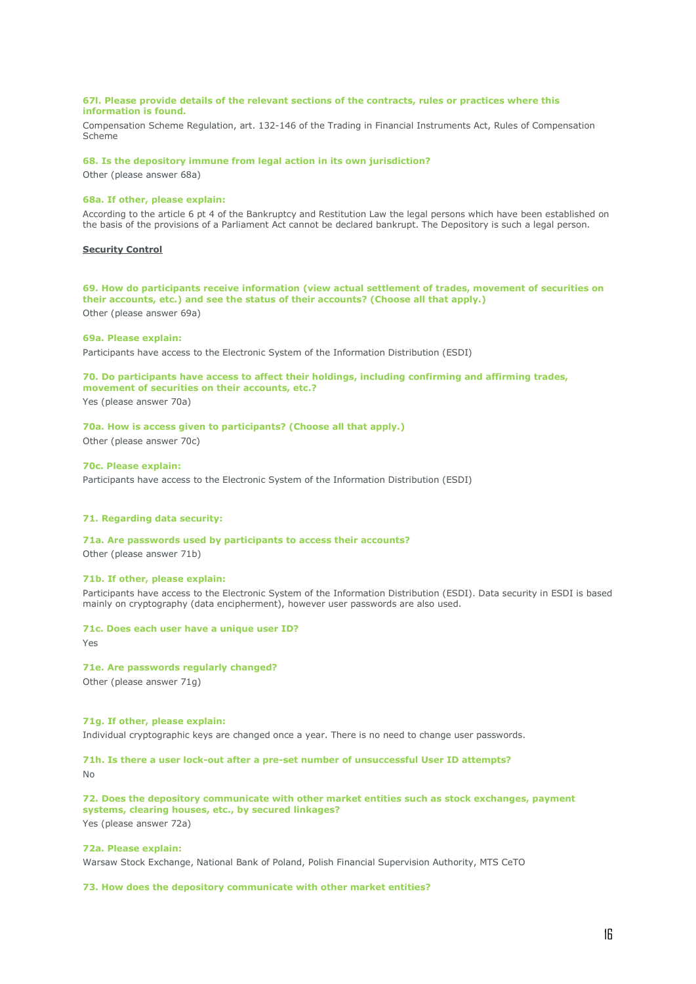### **67l. Please provide details of the relevant sections of the contracts, rules or practices where this information is found.**

Compensation Scheme Regulation, art. 132-146 of the Trading in Financial Instruments Act, Rules of Compensation Scheme

# **68. Is the depository immune from legal action in its own jurisdiction?**

Other (please answer 68a)

# **68a. If other, please explain:**

According to the article 6 pt 4 of the Bankruptcy and Restitution Law the legal persons which have been established on the basis of the provisions of a Parliament Act cannot be declared bankrupt. The Depository is such a legal person.

# **Security Control**

**69. How do participants receive information (view actual settlement of trades, movement of securities on their accounts, etc.) and see the status of their accounts? (Choose all that apply.)** Other (please answer 69a)

### **69a. Please explain:**

Participants have access to the Electronic System of the Information Distribution (ESDI)

# **70. Do participants have access to affect their holdings, including confirming and affirming trades, movement of securities on their accounts, etc.?**

Yes (please answer 70a)

# **70a. How is access given to participants? (Choose all that apply.)**

Other (please answer 70c)

# **70c. Please explain:**

Participants have access to the Electronic System of the Information Distribution (ESDI)

### **71. Regarding data security:**

#### **71a. Are passwords used by participants to access their accounts?**

Other (please answer 71b)

#### **71b. If other, please explain:**

Participants have access to the Electronic System of the Information Distribution (ESDI). Data security in ESDI is based mainly on cryptography (data encipherment), however user passwords are also used.

#### **71c. Does each user have a unique user ID?**

Yes

#### **71e. Are passwords regularly changed?**

Other (please answer 71g)

# **71g. If other, please explain:**

Individual cryptographic keys are changed once a year. There is no need to change user passwords.

### **71h. Is there a user lock-out after a pre-set number of unsuccessful User ID attempts?** No

**72. Does the depository communicate with other market entities such as stock exchanges, payment systems, clearing houses, etc., by secured linkages?** Yes (please answer 72a)

#### **72a. Please explain:**

Warsaw Stock Exchange, National Bank of Poland, Polish Financial Supervision Authority, MTS CeTO

#### **73. How does the depository communicate with other market entities?**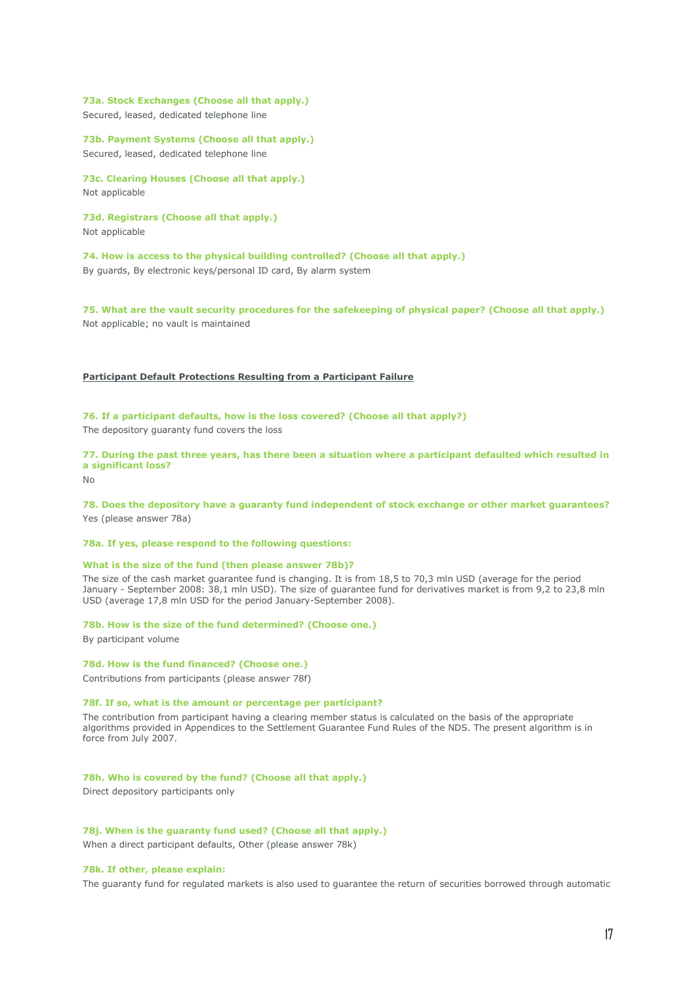**73a. Stock Exchanges (Choose all that apply.)** Secured, leased, dedicated telephone line

**73b. Payment Systems (Choose all that apply.)** Secured, leased, dedicated telephone line

**73c. Clearing Houses (Choose all that apply.)** Not applicable

**73d. Registrars (Choose all that apply.)** Not applicable

**74. How is access to the physical building controlled? (Choose all that apply.)** By guards, By electronic keys/personal ID card, By alarm system

**75. What are the vault security procedures for the safekeeping of physical paper? (Choose all that apply.)** Not applicable; no vault is maintained

# **Participant Default Protections Resulting from a Participant Failure**

**76. If a participant defaults, how is the loss covered? (Choose all that apply?)**

The depository guaranty fund covers the loss

**77. During the past three years, has there been a situation where a participant defaulted which resulted in a significant loss?**

 $N<sub>0</sub>$ 

**78. Does the depository have a guaranty fund independent of stock exchange or other market guarantees?** Yes (please answer 78a)

**78a. If yes, please respond to the following questions:**

#### **What is the size of the fund (then please answer 78b)?**

The size of the cash market guarantee fund is changing. It is from 18,5 to 70,3 mln USD (average for the period January - September 2008: 38,1 mln USD). The size of guarantee fund for derivatives market is from 9,2 to 23,8 mln USD (average 17,8 mln USD for the period January-September 2008).

**78b. How is the size of the fund determined? (Choose one.)**

By participant volume

#### **78d. How is the fund financed? (Choose one.)**

Contributions from participants (please answer 78f)

### **78f. If so, what is the amount or percentage per participant?**

The contribution from participant having a clearing member status is calculated on the basis of the appropriate algorithms provided in Appendices to the Settlement Guarantee Fund Rules of the NDS. The present algorithm is in force from July 2007.

**78h. Who is covered by the fund? (Choose all that apply.)** Direct depository participants only

**78j. When is the guaranty fund used? (Choose all that apply.)**

When a direct participant defaults, Other (please answer 78k)

### **78k. If other, please explain:**

The guaranty fund for regulated markets is also used to guarantee the return of securities borrowed through automatic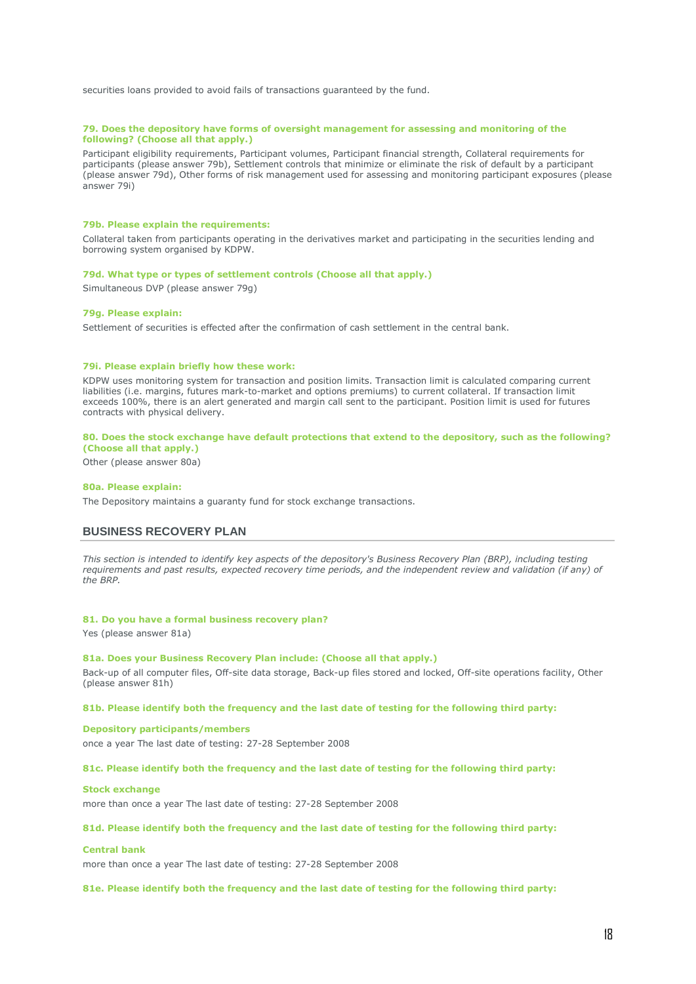securities loans provided to avoid fails of transactions guaranteed by the fund.

### **79. Does the depository have forms of oversight management for assessing and monitoring of the following? (Choose all that apply.)**

Participant eligibility requirements, Participant volumes, Participant financial strength, Collateral requirements for participants (please answer 79b), Settlement controls that minimize or eliminate the risk of default by a participant (please answer 79d), Other forms of risk management used for assessing and monitoring participant exposures (please answer 79i)

#### **79b. Please explain the requirements:**

Collateral taken from participants operating in the derivatives market and participating in the securities lending and borrowing system organised by KDPW.

## **79d. What type or types of settlement controls (Choose all that apply.)**

Simultaneous DVP (please answer 79g)

### **79g. Please explain:**

Settlement of securities is effected after the confirmation of cash settlement in the central bank.

#### **79i. Please explain briefly how these work:**

KDPW uses monitoring system for transaction and position limits. Transaction limit is calculated comparing current liabilities (i.e. margins, futures mark-to-market and options premiums) to current collateral. If transaction limit exceeds 100%, there is an alert generated and margin call sent to the participant. Position limit is used for futures contracts with physical delivery.

#### **80. Does the stock exchange have default protections that extend to the depository, such as the following? (Choose all that apply.)**

Other (please answer 80a)

#### **80a. Please explain:**

The Depository maintains a guaranty fund for stock exchange transactions.

# **BUSINESS RECOVERY PLAN**

*This section is intended to identify key aspects of the depository's Business Recovery Plan (BRP), including testing requirements and past results, expected recovery time periods, and the independent review and validation (if any) of the BRP.*

## **81. Do you have a formal business recovery plan?**

Yes (please answer 81a)

### **81a. Does your Business Recovery Plan include: (Choose all that apply.)**

Back-up of all computer files, Off-site data storage, Back-up files stored and locked, Off-site operations facility, Other (please answer 81h)

### **81b. Please identify both the frequency and the last date of testing for the following third party:**

# **Depository participants/members**

once a year The last date of testing: 27-28 September 2008

#### **81c. Please identify both the frequency and the last date of testing for the following third party:**

#### **Stock exchange**

more than once a year The last date of testing: 27-28 September 2008

#### **81d. Please identify both the frequency and the last date of testing for the following third party:**

### **Central bank**

more than once a year The last date of testing: 27-28 September 2008

## **81e. Please identify both the frequency and the last date of testing for the following third party:**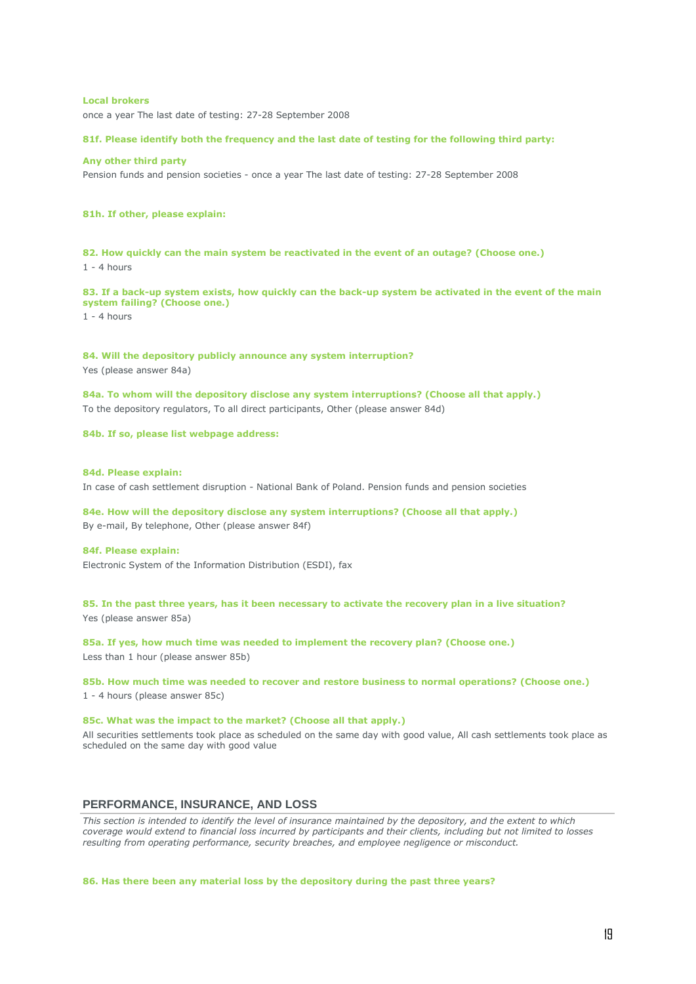### **Local brokers**

once a year The last date of testing: 27-28 September 2008

### **81f. Please identify both the frequency and the last date of testing for the following third party:**

# **Any other third party**

Pension funds and pension societies - once a year The last date of testing: 27-28 September 2008

### **81h. If other, please explain:**

**82. How quickly can the main system be reactivated in the event of an outage? (Choose one.)** 1 - 4 hours

**83. If a back-up system exists, how quickly can the back-up system be activated in the event of the main system failing? (Choose one.)**  $1 - 4$  hours

**84. Will the depository publicly announce any system interruption?** Yes (please answer 84a)

**84a. To whom will the depository disclose any system interruptions? (Choose all that apply.)** To the depository regulators, To all direct participants, Other (please answer 84d)

**84b. If so, please list webpage address:**

#### **84d. Please explain:**

In case of cash settlement disruption - National Bank of Poland. Pension funds and pension societies

**84e. How will the depository disclose any system interruptions? (Choose all that apply.)** By e-mail, By telephone, Other (please answer 84f)

#### **84f. Please explain:**

Electronic System of the Information Distribution (ESDI), fax

**85. In the past three years, has it been necessary to activate the recovery plan in a live situation?** Yes (please answer 85a)

**85a. If yes, how much time was needed to implement the recovery plan? (Choose one.)** Less than 1 hour (please answer 85b)

**85b. How much time was needed to recover and restore business to normal operations? (Choose one.)** 1 - 4 hours (please answer 85c)

## **85c. What was the impact to the market? (Choose all that apply.)**

All securities settlements took place as scheduled on the same day with good value, All cash settlements took place as scheduled on the same day with good value

# **PERFORMANCE, INSURANCE, AND LOSS**

*This section is intended to identify the level of insurance maintained by the depository, and the extent to which coverage would extend to financial loss incurred by participants and their clients, including but not limited to losses resulting from operating performance, security breaches, and employee negligence or misconduct.*

**86. Has there been any material loss by the depository during the past three years?**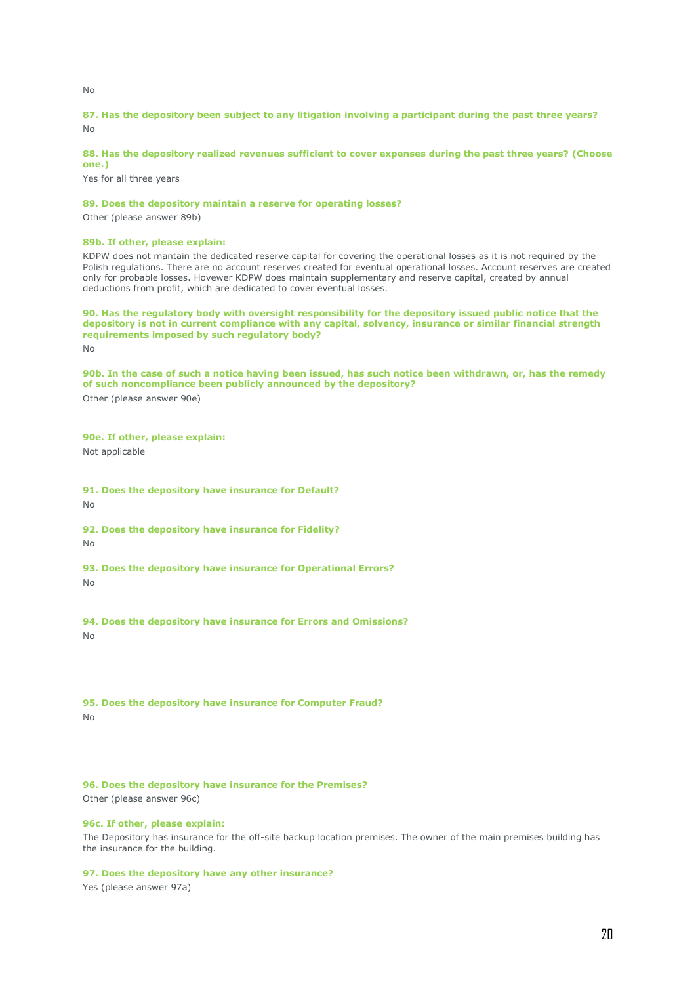No

# **87. Has the depository been subject to any litigation involving a participant during the past three years?** No

# **88. Has the depository realized revenues sufficient to cover expenses during the past three years? (Choose one.)**

Yes for all three years

# **89. Does the depository maintain a reserve for operating losses?**

Other (please answer 89b)

### **89b. If other, please explain:**

KDPW does not mantain the dedicated reserve capital for covering the operational losses as it is not required by the Polish regulations. There are no account reserves created for eventual operational losses. Account reserves are created only for probable losses. Hovewer KDPW does maintain supplementary and reserve capital, created by annual deductions from profit, which are dedicated to cover eventual losses.

**90. Has the regulatory body with oversight responsibility for the depository issued public notice that the depository is not in current compliance with any capital, solvency, insurance or similar financial strength requirements imposed by such regulatory body?**  $N<sub>0</sub>$ 

**90b. In the case of such a notice having been issued, has such notice been withdrawn, or, has the remedy of such noncompliance been publicly announced by the depository?** Other (please answer 90e)

### **90e. If other, please explain:**

Not applicable

**91. Does the depository have insurance for Default?**

No

**92. Does the depository have insurance for Fidelity?**

No

**93. Does the depository have insurance for Operational Errors?** No

**94. Does the depository have insurance for Errors and Omissions?** No

**95. Does the depository have insurance for Computer Fraud?**  $N<sub>0</sub>$ 

# **96. Does the depository have insurance for the Premises?**

Other (please answer 96c)

## **96c. If other, please explain:**

The Depository has insurance for the off-site backup location premises. The owner of the main premises building has the insurance for the building.

#### **97. Does the depository have any other insurance?**

Yes (please answer 97a)